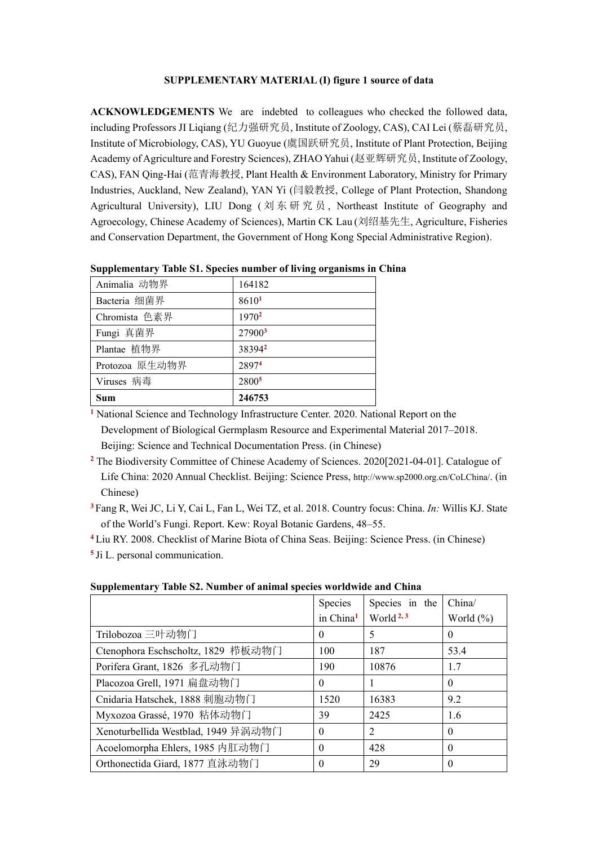## **SUPPLEMENTARY MATERIAL (I) figure 1 source of data**

**ACKNOWLEDGEMENTS** We are indebted to colleagues who checked the followed data, including Professors JI Liqiang (纪力强研究员, Institute of Zoology, CAS), CAI Lei (蔡磊研究员, Institute of Microbiology, CAS), YU Guoyue (虞国跃研究员, Institute of Plant Protection, Beijing Academy of Agriculture and Forestry Sciences), ZHAO Yahui (赵亚辉研究员, Institute of Zoology, CAS), FAN Qing-Hai (范青海教授, Plant Health & Environment Laboratory, Ministry for Primary Industries, Auckland, New Zealand), YAN Yi (闫毅教授, College of Plant Protection, Shandong Agricultural University), LIU Dong (刘东研究员, Northeast Institute of Geography and Agroecology, Chinese Academy of Sciences), Martin CK Lau (刘绍基先生, Agriculture, Fisheries and Conservation Department, the Government of Hong Kong Special Administrative Region).

| Animalia 动物界   | 164182             |
|----------------|--------------------|
| Bacteria 细菌界   | 86101              |
| Chromista 色素界  | 1970 <sup>2</sup>  |
| Fungi 真菌界      | 27900 <sup>3</sup> |
| Plantae 植物界    | 383942             |
| Protozoa 原生动物界 | 28974              |
| Viruses 病毒     | 2800 <sup>5</sup>  |
| Sum            | 246753             |

**Supplementary Table S1. Species number of living organisms in China**

**<sup>1</sup>** National Science and Technology Infrastructure Center. 2020. National Report on the Development of Biological Germplasm Resource and Experimental Material 2017–2018. Beijing: Science and Technical Documentation Press. (in Chinese)

**<sup>2</sup>** The Biodiversity Committee of Chinese Academy of Sciences. 2020[2021-04-01]. Catalogue of Life China: 2020 Annual Checklist. Beijing: Science Press, http://www.sp2000.org.cn/CoLChina/. (in Chinese)

**<sup>3</sup>** Fang R, Wei JC, Li Y, Cai L, Fan L, Wei TZ, et al. 2018. Country focus: China. *In:* Willis KJ. State of the World's Fungi. Report. Kew: Royal Botanic Gardens, 48–55.

**<sup>4</sup>** Liu RY. 2008. Checklist of Marine Biota of China Seas. Beijing: Science Press. (in Chinese)

**5** Ji L. personal communication.

**Supplementary Table S2. Number of animal species worldwide and China**

| . .                                 |                       |                       |               |
|-------------------------------------|-----------------------|-----------------------|---------------|
|                                     | Species               | Species in the        | China/        |
|                                     | in China <sup>1</sup> | World <sup>2, 3</sup> | World $(\% )$ |
| Trilobozoa 三叶动物门                    | $\Omega$              | 5                     | $\Omega$      |
| Ctenophora Eschscholtz, 1829 栉板动物门  | 100                   | 187                   | 53.4          |
| Porifera Grant, 1826 多孔动物门          | 190                   | 10876                 | 1.7           |
| Placozoa Grell, 1971 扁盘动物门          | $\Omega$              |                       | $\Omega$      |
| Cnidaria Hatschek, 1888 刺胞动物门       | 1520                  | 16383                 | 9.2           |
| Myxozoa Grassé, 1970 粘体动物门          | 39                    | 2425                  | 1.6           |
| Xenoturbellida Westblad, 1949 异涡动物门 | $\Omega$              | $\overline{2}$        | $\Omega$      |
| Acoelomorpha Ehlers, 1985 内肛动物门     | 0                     | 428                   | $\theta$      |
| Orthonectida Giard, 1877 直泳动物门      | 0                     | 29                    | $\theta$      |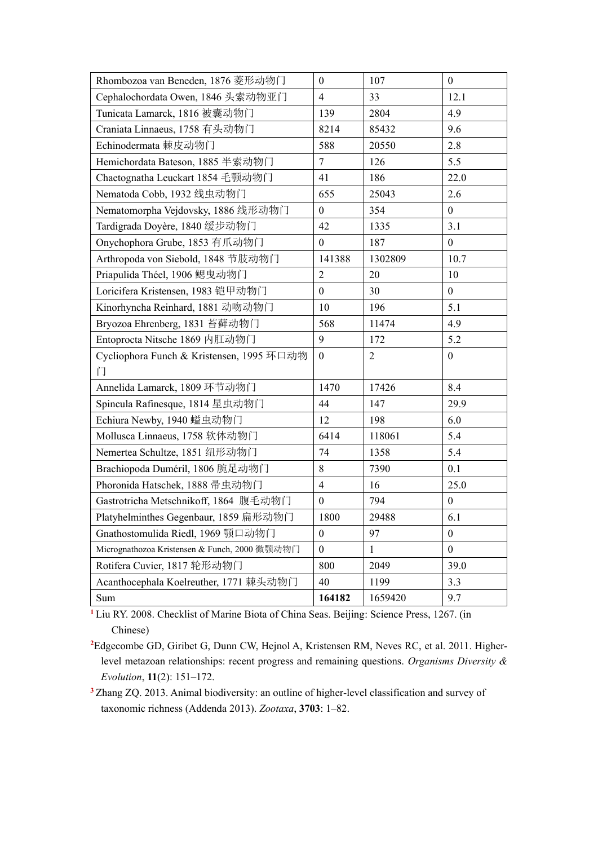| Rhombozoa van Beneden, 1876 菱形动物门             | $\mathbf{0}$     | 107            | $\mathbf{0}$     |
|-----------------------------------------------|------------------|----------------|------------------|
| Cephalochordata Owen, 1846 头索动物亚门             | $\overline{4}$   | 33             | 12.1             |
| Tunicata Lamarck, 1816 被囊动物门                  | 139              | 2804           | 4.9              |
| Craniata Linnaeus, 1758 有头动物门                 | 8214             | 85432          | 9.6              |
| Echinodermata 棘皮动物门                           | 588              | 20550          | 2.8              |
| Hemichordata Bateson, 1885 半索动物门              | 7                | 126            | 5.5              |
| Chaetognatha Leuckart 1854 毛颚动物门              | 41               | 186            | 22.0             |
| Nematoda Cobb, 1932 线虫动物门                     | 655              | 25043          | 2.6              |
| Nematomorpha Vejdovsky, 1886 线形动物门            | $\boldsymbol{0}$ | 354            | $\boldsymbol{0}$ |
| Tardigrada Doyère, 1840 缓步动物门                 | 42               | 1335           | 3.1              |
| Onychophora Grube, 1853 有爪动物门                 | $\boldsymbol{0}$ | 187            | $\boldsymbol{0}$ |
| Arthropoda von Siebold, 1848 节肢动物门            | 141388           | 1302809        | 10.7             |
| Priapulida Théel, 1906 鳃曳动物门                  | $\overline{2}$   | 20             | 10               |
| Loricifera Kristensen, 1983 铠甲动物门             | $\boldsymbol{0}$ | 30             | $\mathbf{0}$     |
| Kinorhyncha Reinhard, 1881 动吻动物门              | 10               | 196            | 5.1              |
| Bryozoa Ehrenberg, 1831 苔藓动物门                 | 568              | 11474          | 4.9              |
| Entoprocta Nitsche 1869 内肛动物门                 | 9                | 172            | 5.2              |
| Cycliophora Funch & Kristensen, 1995 环口动物     | $\boldsymbol{0}$ | $\overline{2}$ | $\boldsymbol{0}$ |
| ГÎ                                            |                  |                |                  |
| Annelida Lamarck, 1809 环节动物门                  | 1470             | 17426          | 8.4              |
| Spincula Rafinesque, 1814 星虫动物门               | 44               | 147            | 29.9             |
| Echiura Newby, 1940 螠虫动物门                     | 12               | 198            | 6.0              |
| Mollusca Linnaeus, 1758 软体动物门                 | 6414             | 118061         | 5.4              |
| Nemertea Schultze, 1851 纽形动物门                 | 74               | 1358           | 5.4              |
| Brachiopoda Duméril, 1806 腕足动物门               | 8                | 7390           | 0.1              |
| Phoronida Hatschek, 1888 帚虫动物门                | $\overline{4}$   | 16             | 25.0             |
| Gastrotricha Metschnikoff, 1864 腹毛动物门         | $\boldsymbol{0}$ | 794            | $\boldsymbol{0}$ |
| Platyhelminthes Gegenbaur, 1859 扁形动物门         | 1800             | 29488          | 6.1              |
| Gnathostomulida Riedl, 1969 颚口动物门             | $\boldsymbol{0}$ | 97             | $\mathbf{0}$     |
| Micrognathozoa Kristensen & Funch, 2000 微颚动物门 | $\theta$         | 1              | $\mathbf{0}$     |
| Rotifera Cuvier, 1817 轮形动物门                   | 800              | 2049           | 39.0             |
| Acanthocephala Koelreuther, 1771 棘头动物门        | 40               | 1199           | 3.3              |
| Sum                                           | 164182           | 1659420        | 9.7              |

**<sup>1</sup>**Liu RY. 2008. Checklist of Marine Biota of China Seas. Beijing: Science Press, 1267. (in Chinese)

**<sup>2</sup>**Edgecombe GD, Giribet G, Dunn CW, Hejnol A, Kristensen RM, Neves RC, et al. 2011. Higherlevel metazoan relationships: recent progress and remaining questions. *Organisms Diversity & Evolution*, **11**(2): 151–172.

**<sup>3</sup>**Zhang ZQ. 2013. Animal biodiversity: an outline of higher-level classification and survey of taxonomic richness (Addenda 2013). *Zootaxa*, **3703**: 1–82.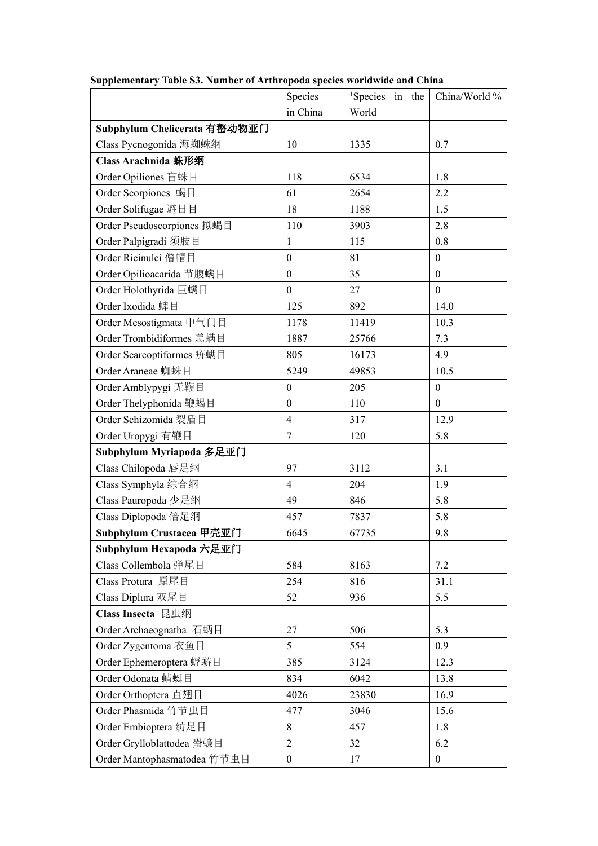|                              | Species          | $1$ Species in the | China/World %    |
|------------------------------|------------------|--------------------|------------------|
|                              | in China         | World              |                  |
| Subphylum Chelicerata 有螯动物亚门 |                  |                    |                  |
| Class Pycnogonida 海蜘蛛纲       | 10               | 1335               | 0.7              |
| Class Arachnida 蛛形纲          |                  |                    |                  |
| Order Opiliones 盲蛛目          | 118              | 6534               | 1.8              |
| Order Scorpiones 蝎目          | 61               | 2654               | 2.2              |
| Order Solifugae 避日目          | 18               | 1188               | 1.5              |
| Order Pseudoscorpiones 拟蝎目   | 110              | 3903               | 2.8              |
| Order Palpigradi 须肢目         | $\mathbf{1}$     | 115                | 0.8              |
| Order Ricinulei 僧帽目          | $\boldsymbol{0}$ | 81                 | $\boldsymbol{0}$ |
| Order Opilioacarida 节腹螨目     | $\boldsymbol{0}$ | 35                 | $\boldsymbol{0}$ |
| Order Holothyrida 巨螨目        | $\boldsymbol{0}$ | 27                 | $\boldsymbol{0}$ |
| Order Ixodida 蜱目             | 125              | 892                | 14.0             |
| Order Mesostigmata 中气门目      | 1178             | 11419              | 10.3             |
| Order Trombidiformes 恙螨目     | 1887             | 25766              | 7.3              |
| Order Scarcoptiformes 疥螨目    | 805              | 16173              | 4.9              |
| Order Araneae 蜘蛛目            | 5249             | 49853              | 10.5             |
| Order Amblypygi 无鞭目          | $\boldsymbol{0}$ | 205                | $\boldsymbol{0}$ |
| Order Thelyphonida 鞭蝎目       | $\boldsymbol{0}$ | 110                | $\boldsymbol{0}$ |
| Order Schizomida 裂盾目         | $\overline{4}$   | 317                | 12.9             |
| Order Uropygi 有鞭目            | $\overline{7}$   | 120                | 5.8              |
| Subphylum Myriapoda 多足亚门     |                  |                    |                  |
| Class Chilopoda 唇足纲          | 97               | 3112               | 3.1              |
| Class Symphyla 综合纲           | $\overline{4}$   | 204                | 1.9              |
| Class Pauropoda 少足纲          | 49               | 846                | 5.8              |
| Class Diplopoda 倍足纲          | 457              | 7837               | 5.8              |
| Subphylum Crustacea 甲壳亚门     | 6645             | 67735              | 9.8              |
| Subphylum Hexapoda 六足亚门      |                  |                    |                  |
| Class Collembola 弹尾目         | 584              | 8163               | 7.2              |
| Class Protura 原尾目            | 254              | 816                | 31.1             |
| Class Diplura 双尾目            | 52               | 936                | 5.5              |
| Class Insecta 昆虫纲            |                  |                    |                  |
| Order Archaeognatha 石蛃目      | 27               | 506                | 5.3              |
| Order Zygentoma 衣鱼目          | 5                | 554                | 0.9              |
| Order Ephemeroptera 蜉蝣目      | 385              | 3124               | 12.3             |
| Order Odonata 蜻蜓目            | 834              | 6042               | 13.8             |
| Order Orthoptera 直翅目         | 4026             | 23830              | 16.9             |
| Order Phasmida 竹节虫目          | 477              | 3046               | 15.6             |
| Order Embioptera 纺足目         | $\,8\,$          | 457                | 1.8              |
| Order Grylloblattodea 蛩蠊目    | $\boldsymbol{2}$ | 32                 | 6.2              |
| Order Mantophasmatodea 竹节虫目  | $\boldsymbol{0}$ | 17                 | $\boldsymbol{0}$ |

## **Supplementary Table S3. Number of Arthropoda species worldwide and China**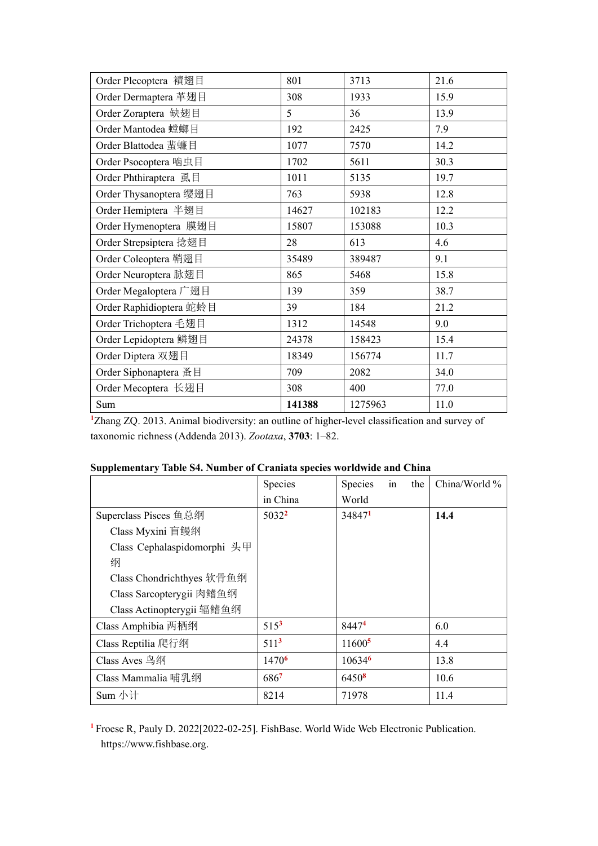| Order Plecoptera 襀翅目    | 801    | 3713    | 21.6 |
|-------------------------|--------|---------|------|
| Order Dermaptera 革翅目    | 308    | 1933    | 15.9 |
| Order Zoraptera 缺翅目     | 5      | 36      | 13.9 |
| Order Mantodea 螳螂目      | 192    | 2425    | 7.9  |
| Order Blattodea 蜚蠊目     | 1077   | 7570    | 14.2 |
| Order Psocoptera 啮虫目    | 1702   | 5611    | 30.3 |
| Order Phthiraptera 虱目   | 1011   | 5135    | 19.7 |
| Order Thysanoptera 缨翅目  | 763    | 5938    | 12.8 |
| Order Hemiptera 半翅目     | 14627  | 102183  | 12.2 |
| Order Hymenoptera 膜翅目   | 15807  | 153088  | 10.3 |
| Order Strepsiptera 捻翅目  | 28     | 613     | 4.6  |
| Order Coleoptera 鞘翅目    | 35489  | 389487  | 9.1  |
| Order Neuroptera 脉翅目    | 865    | 5468    | 15.8 |
| Order Megaloptera 广翅目   | 139    | 359     | 38.7 |
| Order Raphidioptera 蛇蛉目 | 39     | 184     | 21.2 |
| Order Trichoptera 毛翅目   | 1312   | 14548   | 9.0  |
| Order Lepidoptera 鳞翅目   | 24378  | 158423  | 15.4 |
| Order Diptera 双翅目       | 18349  | 156774  | 11.7 |
| Order Siphonaptera 蚤目   | 709    | 2082    | 34.0 |
| Order Mecoptera 长翅目     | 308    | 400     | 77.0 |
| Sum                     | 141388 | 1275963 | 11.0 |

**<sup>1</sup>**Zhang ZQ. 2013. Animal biodiversity: an outline of higher-level classification and survey of taxonomic richness (Addenda 2013). *Zootaxa*, **3703**: 1–82.

|                             | Species           | Species            | in<br>the | China/World % |
|-----------------------------|-------------------|--------------------|-----------|---------------|
|                             | in China          | World              |           |               |
| Superclass Pisces 鱼总纲       | $5032^2$          | 348471             |           | 14.4          |
| Class Myxini 盲鳗纲            |                   |                    |           |               |
| Class Cephalaspidomorphi 头甲 |                   |                    |           |               |
| 纲                           |                   |                    |           |               |
| Class Chondrichthyes 软骨鱼纲   |                   |                    |           |               |
| Class Sarcopterygii 肉鳍鱼纲    |                   |                    |           |               |
| Class Actinopterygii 辐鳍鱼纲   |                   |                    |           |               |
| Class Amphibia 两栖纲          | $515^3$           | 84474              |           | 6.0           |
| Class Reptilia 爬行纲          | $511^3$           | 11600 <sup>5</sup> |           | 4.4           |
| Class Aves 鸟纲               | 1470 <sup>6</sup> | 10634 <sup>6</sup> |           | 13.8          |
| Class Mammalia 哺乳纲          | 6867              | 6450 <sup>8</sup>  |           | 10.6          |
| Sum 小计                      | 8214              | 71978              |           | 11.4          |

## **Supplementary Table S4. Number of Craniata species worldwide and China**

**<sup>1</sup>** Froese R, Pauly D. 2022[2022-02-25]. FishBase. World Wide Web Electronic Publication. https://www.fishbase.org.